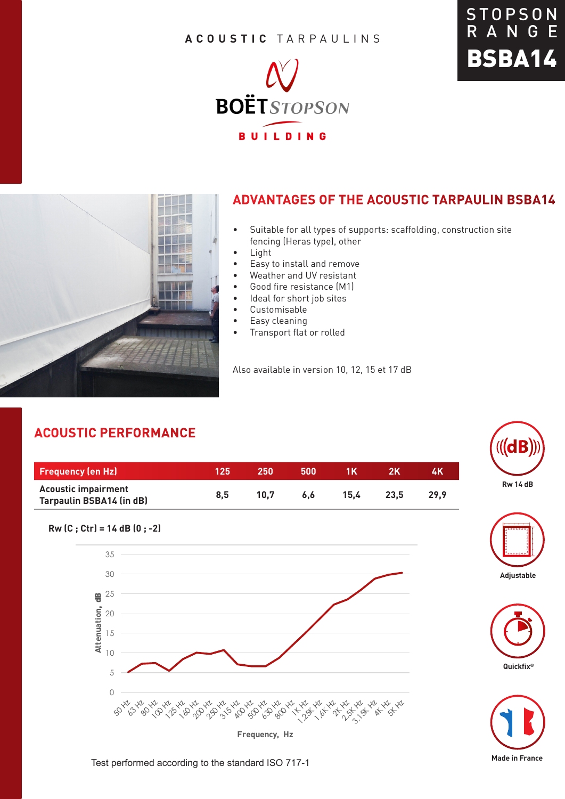### **ACOUSTIC** TARPAULINS







## **ADVANTAGES OF THE ACOUSTIC TARPAULIN BSBA14**

- Suitable for all types of supports: scaffolding, construction site fencing (Heras type), other
- Light
- Easy to install and remove
- Weather and UV resistant
- Good fire resistance (M1)
- Ideal for short job sites
- Customisable
- Easy cleaning
- Transport flat or rolled

Also available in version 10, 12, 15 et 17 dB

# **ACOUSTIC PERFORMANCE**

**Rw (C ; Ctr) = 14 dB (0 ; -2)** 

0

5 10

15

20

30

35

 $\frac{m}{2}$  25

**Attenuation**, dB

| <b>Frequency (en Hz)</b>                                      | 125 | 250  | 500 | 1 K  |      | 4K   |
|---------------------------------------------------------------|-----|------|-----|------|------|------|
| <b>Acoustic impairment</b><br><b>Tarpaulin BSBA14 (in dB)</b> | 8.5 | 10.7 | 6.6 | 15.4 | 23.5 | 29.9 |

**Frequency, Hz**

63 60 10 10 10 10 13 3 10 10 19 90 11 12 16 17 18 18 18 18 18



**GIB** 





#### Test performed according to the standard ISO 717-1